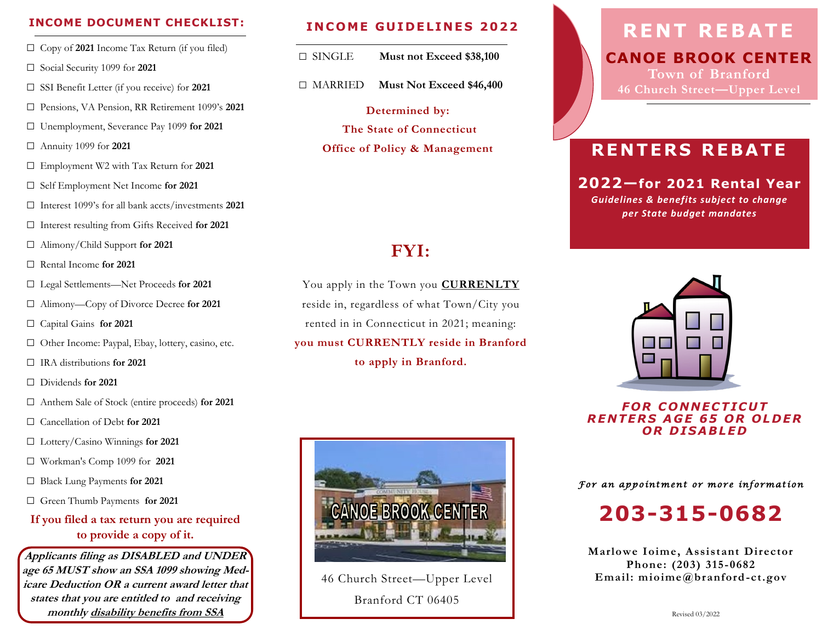### **INCOME DOCUMENT CHECKLIST:**

- □ Copy of 2021 Income Tax Return (if you filed)
- □ Social Security 1099 for **2021**
- □ SSI Benefit Letter (if you receive) for **2021**
- □ Pensions, VA Pension, RR Retirement 1099's **2021**
- □ Unemployment, Severance Pay 1099 **for 2021**
- □ Annuity 1099 for **2021**
- □ Employment W2 with Tax Return for **2021**
- □ Self Employment Net Income **for 2021**
- □ Interest 1099's for all bank accts/investments **2021**
- □ Interest resulting from Gifts Received **for 2021**
- □ Alimony/Child Support **for 2021**
- □ Rental Income **for 2021**
- □ Legal Settlements—Net Proceeds **for 2021**
- □ Alimony—Copy of Divorce Decree **for 2021**
- □ Capital Gains **for 2021**
- □ Other Income: Paypal, Ebay, lottery, casino, etc.
- □ IRA distributions **for 2021**
- □ Dividends **for 2021**
- □ Anthem Sale of Stock (entire proceeds) **for 2021**
- □ Cancellation of Debt **for 2021**
- □ Lottery/Casino Winnings **for 2021**
- □ Workman's Comp 1099 for **2021**
- □ Black Lung Payments **for 2021**
- □ Green Thumb Payments **for 2021**

### **If you filed a tax return you are required to provide a copy of it.**

**Applicants filing as DISABLED and UNDER age 65 MUST show an SSA 1099 showing Medicare Deduction OR <sup>a</sup> current award letter that states that you are entitled to and receiving monthly disability benefits from SSA**

#### **INCOME GUIDELINES 2022**

- □ SINGLE **Must not Exceed \$38,100**
- □ MARRIED **Must Not Exceed \$46,400**
	- **Determined by: The State of Connecticut Office of Policy & Management**

### **FYI:**

You apply in the Town you **CURRENLTY** reside in, regardless of what Town/City you rented in in Connecticut in 2021; meaning: **you must CURRENTLY reside in Branford to apply in Branford.**



46 Church Street—Upper Level Branford CT 06405

# **RENT REBATE**

**CANOE BROOK CENTER Town of Branford 46 Church Street—Upper Level** 

### **R E N T E R S R E B A T E**

### **2022—for 2021 Rental Year**

*Guidelines & benefits subject to change per State budget mandates*



*F O R C ONN E C T I CU T R E N TE R S A G E 6 5 O R O L DE R O R D I S A B L E D*

*For an appointment or more information* 

**203-315-0682**

**Marlowe Ioime, Assistant Director Phone: (203) 315-0682 Email: mioime@branford-ct.gov**